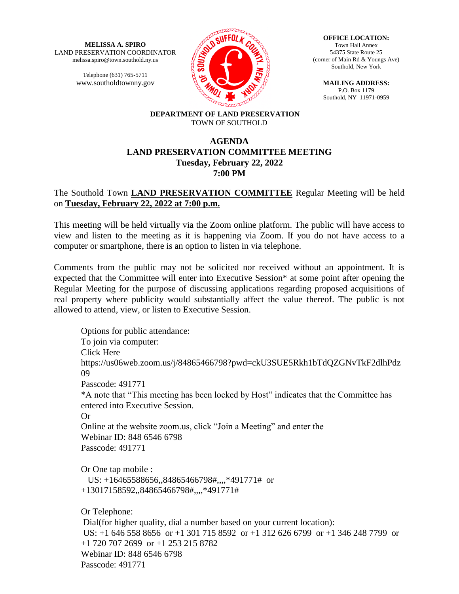**MELISSA A. SPIRO** LAND PRESERVATION COORDINATOR melissa.spiro@town.southold.ny.us

> Telephone (631) 765-5711 www.southoldtownny.gov



**OFFICE LOCATION:** Town Hall Annex 54375 State Route 25 (corner of Main Rd & Youngs Ave) Southold, New York

> **MAILING ADDRESS:** P.O. Box 1179 Southold, NY 11971-0959

#### **DEPARTMENT OF LAND PRESERVATION** TOWN OF SOUTHOLD

# **AGENDA LAND PRESERVATION COMMITTEE MEETING Tuesday, February 22, 2022 7:00 PM**

# The Southold Town **LAND PRESERVATION COMMITTEE** Regular Meeting will be held on **Tuesday, February 22, 2022 at 7:00 p.m.**

This meeting will be held virtually via the Zoom online platform. The public will have access to view and listen to the meeting as it is happening via Zoom. If you do not have access to a computer or smartphone, there is an option to listen in via telephone.

Comments from the public may not be solicited nor received without an appointment. It is expected that the Committee will enter into Executive Session\* at some point after opening the Regular Meeting for the purpose of discussing applications regarding proposed acquisitions of real property where publicity would substantially affect the value thereof. The public is not allowed to attend, view, or listen to Executive Session.

Options for public attendance: To join via computer: Click Here https://us06web.zoom.us/j/84865466798?pwd=ckU3SUE5Rkh1bTdQZGNvTkF2dlhPdz 09 Passcode: 491771 \*A note that "This meeting has been locked by Host" indicates that the Committee has entered into Executive Session. Or Online at the website zoom.us, click "Join a Meeting" and enter the Webinar ID: 848 6546 6798 Passcode: 491771 Or One tap mobile : US: +16465588656,,84865466798#,,,,\*491771# or +13017158592,,84865466798#,,,,\*491771# Or Telephone: Dial(for higher quality, dial a number based on your current location): US: +1 646 558 8656 or +1 301 715 8592 or +1 312 626 6799 or +1 346 248 7799 or +1 720 707 2699 or +1 253 215 8782 Webinar ID: 848 6546 6798

Passcode: 491771